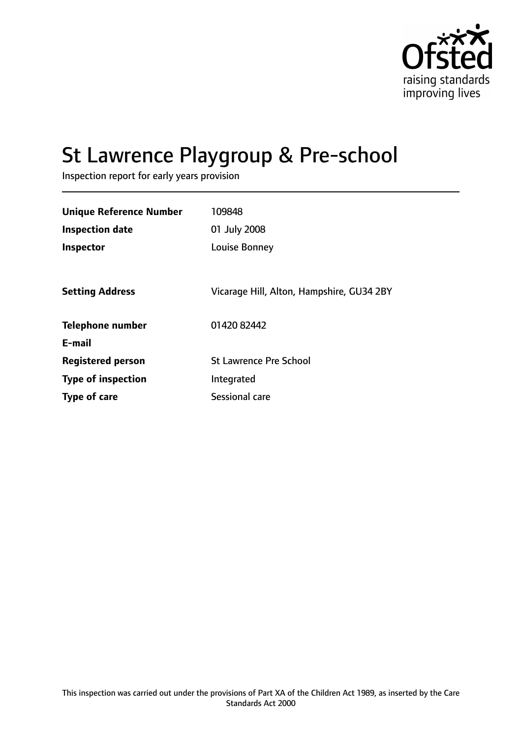

# St Lawrence Playgroup & Pre-school

Inspection report for early years provision

| <b>Unique Reference Number</b> | 109848                                    |
|--------------------------------|-------------------------------------------|
| <b>Inspection date</b>         | 01 July 2008                              |
| Inspector                      | Louise Bonney                             |
|                                |                                           |
| <b>Setting Address</b>         | Vicarage Hill, Alton, Hampshire, GU34 2BY |
| <b>Telephone number</b>        | 01420 82442                               |
| E-mail                         |                                           |
| <b>Registered person</b>       | <b>St Lawrence Pre School</b>             |
| <b>Type of inspection</b>      | Integrated                                |
| <b>Type of care</b>            | Sessional care                            |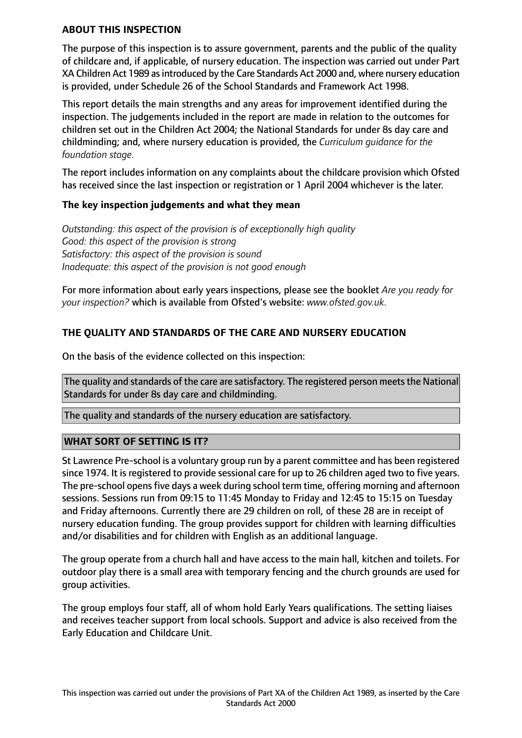#### **ABOUT THIS INSPECTION**

The purpose of this inspection is to assure government, parents and the public of the quality of childcare and, if applicable, of nursery education. The inspection was carried out under Part XA Children Act 1989 asintroduced by the Care Standards Act 2000 and, where nursery education is provided, under Schedule 26 of the School Standards and Framework Act 1998.

This report details the main strengths and any areas for improvement identified during the inspection. The judgements included in the report are made in relation to the outcomes for children set out in the Children Act 2004; the National Standards for under 8s day care and childminding; and, where nursery education is provided, the *Curriculum guidance for the foundation stage.*

The report includes information on any complaints about the childcare provision which Ofsted has received since the last inspection or registration or 1 April 2004 whichever is the later.

## **The key inspection judgements and what they mean**

*Outstanding: this aspect of the provision is of exceptionally high quality Good: this aspect of the provision is strong Satisfactory: this aspect of the provision is sound Inadequate: this aspect of the provision is not good enough*

For more information about early years inspections, please see the booklet *Are you ready for your inspection?* which is available from Ofsted's website: *www.ofsted.gov.uk.*

## **THE QUALITY AND STANDARDS OF THE CARE AND NURSERY EDUCATION**

On the basis of the evidence collected on this inspection:

The quality and standards of the care are satisfactory. The registered person meets the National Standards for under 8s day care and childminding.

The quality and standards of the nursery education are satisfactory.

## **WHAT SORT OF SETTING IS IT?**

St Lawrence Pre-school is a voluntary group run by a parent committee and has been registered since 1974. It is registered to provide sessional care for up to 26 children aged two to five years. The pre-school opensfive days a week during school term time, offering morning and afternoon sessions. Sessions run from 09:15 to 11:45 Monday to Friday and 12:45 to 15:15 on Tuesday and Friday afternoons. Currently there are 29 children on roll, of these 28 are in receipt of nursery education funding. The group provides support for children with learning difficulties and/or disabilities and for children with English as an additional language.

The group operate from a church hall and have access to the main hall, kitchen and toilets. For outdoor play there is a small area with temporary fencing and the church grounds are used for group activities.

The group employs four staff, all of whom hold Early Years qualifications. The setting liaises and receives teacher support from local schools. Support and advice is also received from the Early Education and Childcare Unit.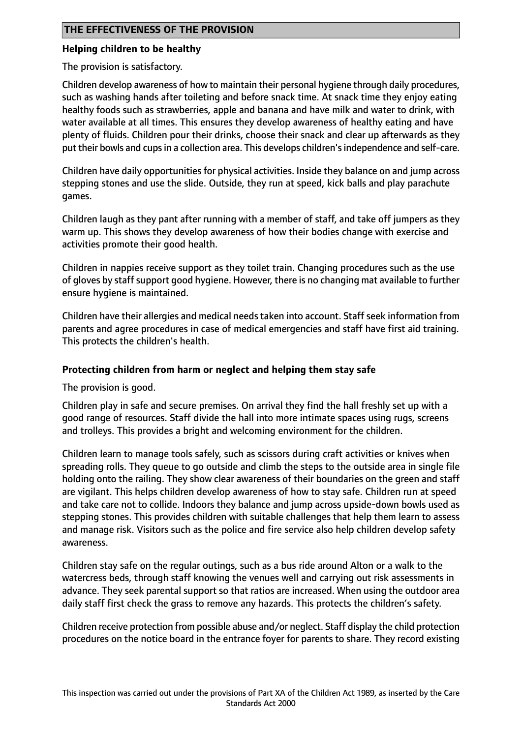#### **Helping children to be healthy**

The provision is satisfactory.

Children develop awareness of how to maintain their personal hygiene through daily procedures, such as washing hands after toileting and before snack time. At snack time they enjoy eating healthy foods such as strawberries, apple and banana and have milk and water to drink, with water available at all times. This ensures they develop awareness of healthy eating and have plenty of fluids. Children pour their drinks, choose their snack and clear up afterwards as they put their bowls and cups in a collection area. This develops children's independence and self-care.

Children have daily opportunities for physical activities. Inside they balance on and jump across stepping stones and use the slide. Outside, they run at speed, kick balls and play parachute games.

Children laugh as they pant after running with a member of staff, and take off jumpers as they warm up. This shows they develop awareness of how their bodies change with exercise and activities promote their good health.

Children in nappies receive support as they toilet train. Changing procedures such as the use of gloves by staff support good hygiene. However, there is no changing mat available to further ensure hygiene is maintained.

Children have their allergies and medical needs taken into account. Staff seek information from parents and agree procedures in case of medical emergencies and staff have first aid training. This protects the children's health.

## **Protecting children from harm or neglect and helping them stay safe**

The provision is good.

Children play in safe and secure premises. On arrival they find the hall freshly set up with a good range of resources. Staff divide the hall into more intimate spaces using rugs, screens and trolleys. This provides a bright and welcoming environment for the children.

Children learn to manage tools safely, such as scissors during craft activities or knives when spreading rolls. They queue to go outside and climb the steps to the outside area in single file holding onto the railing. They show clear awareness of their boundaries on the green and staff are vigilant. This helps children develop awareness of how to stay safe. Children run at speed and take care not to collide. Indoors they balance and jump across upside-down bowls used as stepping stones. This provides children with suitable challenges that help them learn to assess and manage risk. Visitors such as the police and fire service also help children develop safety awareness.

Children stay safe on the regular outings, such as a bus ride around Alton or a walk to the watercress beds, through staff knowing the venues well and carrying out risk assessments in advance. They seek parental support so that ratios are increased. When using the outdoor area daily staff first check the grass to remove any hazards. This protects the children's safety.

Children receive protection from possible abuse and/or neglect. Staff display the child protection procedures on the notice board in the entrance foyer for parents to share. They record existing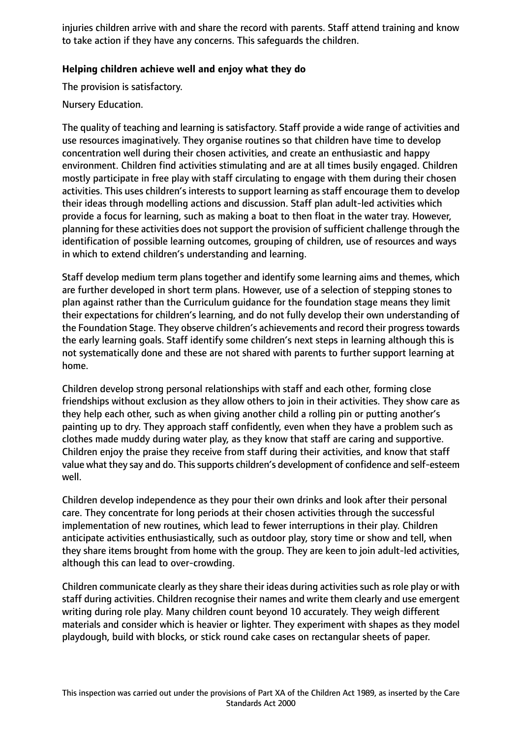injuries children arrive with and share the record with parents. Staff attend training and know to take action if they have any concerns. This safeguards the children.

## **Helping children achieve well and enjoy what they do**

The provision is satisfactory.

## Nursery Education.

The quality of teaching and learning is satisfactory. Staff provide a wide range of activities and use resources imaginatively. They organise routines so that children have time to develop concentration well during their chosen activities, and create an enthusiastic and happy environment. Children find activities stimulating and are at all times busily engaged. Children mostly participate in free play with staff circulating to engage with them during their chosen activities. This uses children's interests to support learning as staff encourage them to develop their ideas through modelling actions and discussion. Staff plan adult-led activities which provide a focus for learning, such as making a boat to then float in the water tray. However, planning for these activities does not support the provision of sufficient challenge through the identification of possible learning outcomes, grouping of children, use of resources and ways in which to extend children's understanding and learning.

Staff develop medium term plans together and identify some learning aims and themes, which are further developed in short term plans. However, use of a selection of stepping stones to plan against rather than the Curriculum guidance for the foundation stage means they limit their expectations for children's learning, and do not fully develop their own understanding of the Foundation Stage. They observe children's achievements and record their progress towards the early learning goals. Staff identify some children's next steps in learning although this is not systematically done and these are not shared with parents to further support learning at home.

Children develop strong personal relationships with staff and each other, forming close friendships without exclusion as they allow others to join in their activities. They show care as they help each other, such as when giving another child a rolling pin or putting another's painting up to dry. They approach staff confidently, even when they have a problem such as clothes made muddy during water play, as they know that staff are caring and supportive. Children enjoy the praise they receive from staff during their activities, and know that staff value what they say and do. This supports children's development of confidence and self-esteem well.

Children develop independence as they pour their own drinks and look after their personal care. They concentrate for long periods at their chosen activities through the successful implementation of new routines, which lead to fewer interruptions in their play. Children anticipate activities enthusiastically, such as outdoor play, story time or show and tell, when they share items brought from home with the group. They are keen to join adult-led activities, although this can lead to over-crowding.

Children communicate clearly as they share their ideas during activities such as role play or with staff during activities. Children recognise their names and write them clearly and use emergent writing during role play. Many children count beyond 10 accurately. They weigh different materials and consider which is heavier or lighter. They experiment with shapes as they model playdough, build with blocks, or stick round cake cases on rectangular sheets of paper.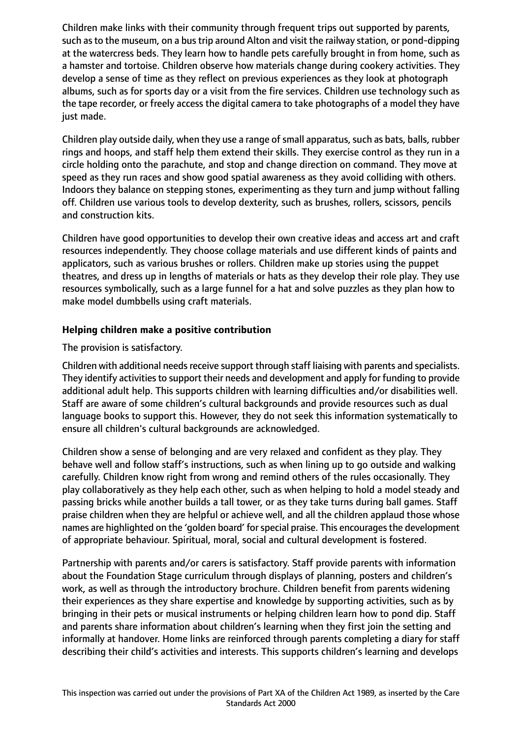Children make links with their community through frequent trips out supported by parents, such as to the museum, on a bus trip around Alton and visit the railway station, or pond-dipping at the watercress beds. They learn how to handle pets carefully brought in from home, such as a hamster and tortoise. Children observe how materials change during cookery activities. They develop a sense of time as they reflect on previous experiences as they look at photograph albums, such as for sports day or a visit from the fire services. Children use technology such as the tape recorder, or freely access the digital camera to take photographs of a model they have just made.

Children play outside daily, when they use a range of small apparatus, such as bats, balls, rubber rings and hoops, and staff help them extend their skills. They exercise control as they run in a circle holding onto the parachute, and stop and change direction on command. They move at speed as they run races and show good spatial awareness as they avoid colliding with others. Indoors they balance on stepping stones, experimenting as they turn and jump without falling off. Children use various tools to develop dexterity, such as brushes, rollers, scissors, pencils and construction kits.

Children have good opportunities to develop their own creative ideas and access art and craft resources independently. They choose collage materials and use different kinds of paints and applicators, such as various brushes or rollers. Children make up stories using the puppet theatres, and dress up in lengths of materials or hats as they develop their role play. They use resources symbolically, such as a large funnel for a hat and solve puzzles as they plan how to make model dumbbells using craft materials.

## **Helping children make a positive contribution**

The provision is satisfactory.

Children with additional needs receive support through staff liaising with parents and specialists. They identify activities to support their needs and development and apply for funding to provide additional adult help. This supports children with learning difficulties and/or disabilities well. Staff are aware of some children's cultural backgrounds and provide resources such as dual language books to support this. However, they do not seek this information systematically to ensure all children's cultural backgrounds are acknowledged.

Children show a sense of belonging and are very relaxed and confident as they play. They behave well and follow staff's instructions, such as when lining up to go outside and walking carefully. Children know right from wrong and remind others of the rules occasionally. They play collaboratively as they help each other, such as when helping to hold a model steady and passing bricks while another builds a tall tower, or as they take turns during ball games. Staff praise children when they are helpful or achieve well, and all the children applaud those whose names are highlighted on the 'golden board' for special praise. This encourages the development of appropriate behaviour. Spiritual, moral, social and cultural development is fostered.

Partnership with parents and/or carers is satisfactory. Staff provide parents with information about the Foundation Stage curriculum through displays of planning, posters and children's work, as well as through the introductory brochure. Children benefit from parents widening their experiences as they share expertise and knowledge by supporting activities, such as by bringing in their pets or musical instruments or helping children learn how to pond dip. Staff and parents share information about children's learning when they first join the setting and informally at handover. Home links are reinforced through parents completing a diary for staff describing their child's activities and interests. This supports children's learning and develops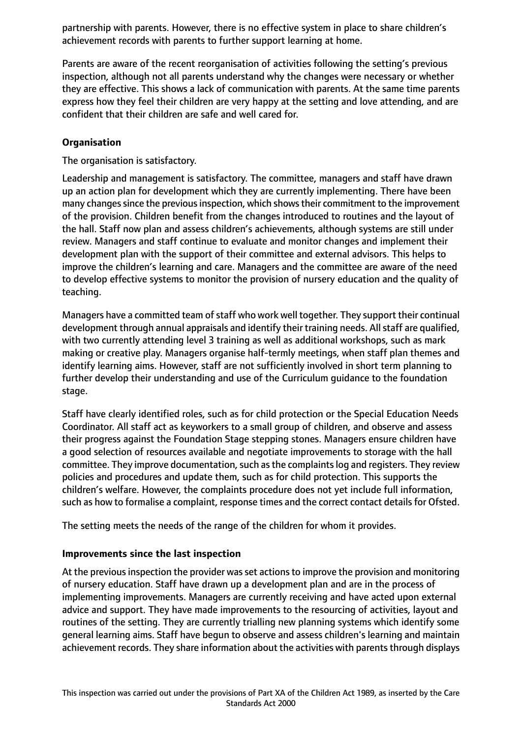partnership with parents. However, there is no effective system in place to share children's achievement records with parents to further support learning at home.

Parents are aware of the recent reorganisation of activities following the setting's previous inspection, although not all parents understand why the changes were necessary or whether they are effective. This shows a lack of communication with parents. At the same time parents express how they feel their children are very happy at the setting and love attending, and are confident that their children are safe and well cared for.

## **Organisation**

The organisation is satisfactory.

Leadership and management is satisfactory. The committee, managers and staff have drawn up an action plan for development which they are currently implementing. There have been many changes since the previous inspection, which shows their commitment to the improvement of the provision. Children benefit from the changes introduced to routines and the layout of the hall. Staff now plan and assess children's achievements, although systems are still under review. Managers and staff continue to evaluate and monitor changes and implement their development plan with the support of their committee and external advisors. This helps to improve the children's learning and care. Managers and the committee are aware of the need to develop effective systems to monitor the provision of nursery education and the quality of teaching.

Managers have a committed team of staff who work well together. They support their continual development through annual appraisals and identify their training needs. All staff are qualified, with two currently attending level 3 training as well as additional workshops, such as mark making or creative play. Managers organise half-termly meetings, when staff plan themes and identify learning aims. However, staff are not sufficiently involved in short term planning to further develop their understanding and use of the Curriculum guidance to the foundation stage.

Staff have clearly identified roles, such as for child protection or the Special Education Needs Coordinator. All staff act as keyworkers to a small group of children, and observe and assess their progress against the Foundation Stage stepping stones. Managers ensure children have a good selection of resources available and negotiate improvements to storage with the hall committee. They improve documentation, such as the complaints log and registers. They review policies and procedures and update them, such as for child protection. This supports the children's welfare. However, the complaints procedure does not yet include full information, such as how to formalise a complaint, response times and the correct contact details for Ofsted.

The setting meets the needs of the range of the children for whom it provides.

## **Improvements since the last inspection**

At the previous inspection the provider was set actions to improve the provision and monitoring of nursery education. Staff have drawn up a development plan and are in the process of implementing improvements. Managers are currently receiving and have acted upon external advice and support. They have made improvements to the resourcing of activities, layout and routines of the setting. They are currently trialling new planning systems which identify some general learning aims. Staff have begun to observe and assess children's learning and maintain achievement records. They share information about the activities with parents through displays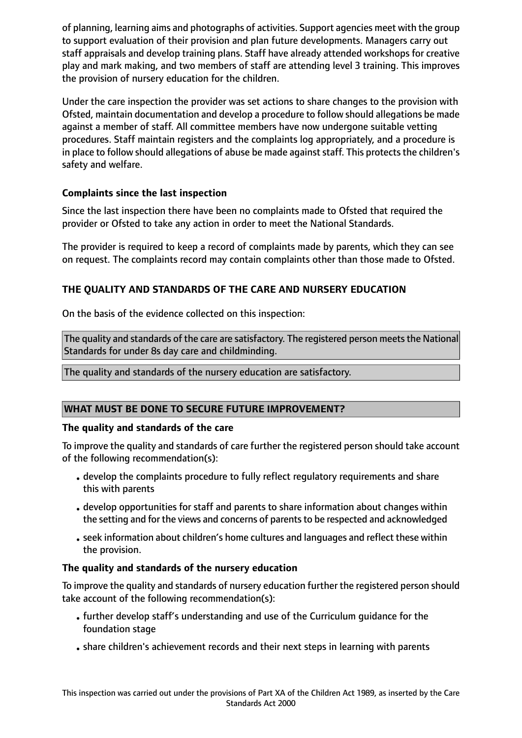of planning, learning aims and photographs of activities. Support agencies meet with the group to support evaluation of their provision and plan future developments. Managers carry out staff appraisals and develop training plans. Staff have already attended workshops for creative play and mark making, and two members of staff are attending level 3 training. This improves the provision of nursery education for the children.

Under the care inspection the provider was set actions to share changes to the provision with Ofsted, maintain documentation and develop a procedure to follow should allegations be made against a member of staff. All committee members have now undergone suitable vetting procedures. Staff maintain registers and the complaints log appropriately, and a procedure is in place to follow should allegations of abuse be made against staff. This protects the children's safety and welfare.

# **Complaints since the last inspection**

Since the last inspection there have been no complaints made to Ofsted that required the provider or Ofsted to take any action in order to meet the National Standards.

The provider is required to keep a record of complaints made by parents, which they can see on request. The complaints record may contain complaints other than those made to Ofsted.

# **THE QUALITY AND STANDARDS OF THE CARE AND NURSERY EDUCATION**

On the basis of the evidence collected on this inspection:

The quality and standards of the care are satisfactory. The registered person meets the National Standards for under 8s day care and childminding.

The quality and standards of the nursery education are satisfactory.

# **WHAT MUST BE DONE TO SECURE FUTURE IMPROVEMENT?**

## **The quality and standards of the care**

To improve the quality and standards of care further the registered person should take account of the following recommendation(s):

- develop the complaints procedure to fully reflect regulatory requirements and share this with parents
- develop opportunities for staff and parents to share information about changes within the setting and for the views and concerns of parents to be respected and acknowledged
- •seek information about children's home cultures and languages and reflect these within the provision.

## **The quality and standards of the nursery education**

To improve the quality and standards of nursery education further the registered person should take account of the following recommendation(s):

- •further develop staff's understanding and use of the Curriculum guidance for the foundation stage
- share children's achievement records and their next steps in learning with parents